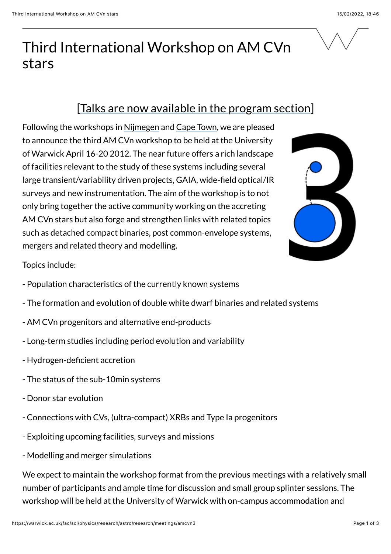## Third International Workshop on AM CVn stars

## [\[Talks are now available in the program section\]](https://warwick.ac.uk/fac/sci/physics/research/astro/research/meetings/amcvn3/program/)

Following the workshops in [Nijmegen](http://www.astro.ru.nl/en/amcvn2005/intro.html) and [Cape Town,](http://www.ast.uct.ac.za/node/24) we are pleased to announce the third AM CVn workshop to be held at the University of Warwick April 16-20 2012. The near future offers a rich landscape of facilities relevant to the study of these systems including several large transient/variability driven projects, GAIA, wide-field optical/IR surveys and new instrumentation. The aim of the workshop is to not only bring together the active community working on the accreting AM CVn stars but also forge and strengthen links with related topics such as detached compact binaries, post common-envelope systems, mergers and related theory and modelling.



Topics include:

- Population characteristics of the currently known systems
- The formation and evolution of double white dwarf binaries and related systems
- AM CVn progenitors and alternative end-products
- Long-term studies including period evolution and variability
- Hydrogen-deficient accretion
- The status of the sub-10min systems
- Donor star evolution
- Connections with CVs, (ultra-compact) XRBs and Type Ia progenitors
- Exploiting upcoming facilities, surveys and missions
- Modelling and merger simulations

We expect to maintain the workshop format from the previous meetings with a relatively small number of participants and ample time for discussion and small group splinter sessions. The workshop will be held at the University of Warwick with on-campus accommodation and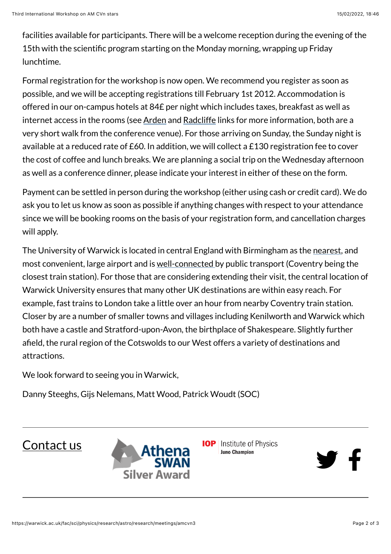facilities available for participants. There will be a welcome reception during the evening of the 15th with the scientific program starting on the Monday morning, wrapping up Friday lunchtime.

Formal registration for the workshop is now open. We recommend you register as soon as possible, and we will be accepting registrations till February 1st 2012. Accommodation is offered in our on-campus hotels at 84£ per night which includes taxes, breakfast as well as internet access in the rooms (see [Arden](http://www2.warwick.ac.uk/conferences/arden) and [Radcliffe](http://www2.warwick.ac.uk/conferences/radcliffe) links for more information, both are a very short walk from the conference venue). For those arriving on Sunday, the Sunday night is available at a reduced rate of £60. In addition, we will collect a £130 registration fee to cover the cost of coffee and lunch breaks. We are planning a social trip on the Wednesday afternoon as well as a conference dinner, please indicate your interest in either of these on the form.

Payment can be settled in person during the workshop (either using cash or credit card). We do ask you to let us know as soon as possible if anything changes with respect to your attendance since we will be booking rooms on the basis of your registration form, and cancellation charges will apply.

The University of Warwick is located in central England with Birmingham as the [nearest](http://www2.warwick.ac.uk/about/visiting/directions/international/), and most convenient, large airport and is [well-connected](http://www2.warwick.ac.uk/about/visiting) by public transport (Coventry being the closest train station). For those that are considering extending their visit, the central location of Warwick University ensures that many other UK destinations are within easy reach. For example, fast trains to London take a little over an hour from nearby Coventry train station. Closer by are a number of smaller towns and villages including Kenilworth and Warwick which both have a castle and Stratford-upon-Avon, the birthplace of Shakespeare. Slightly further afield, the rural region of the Cotswolds to our West offers a variety of destinations and attractions.

We look forward to seeing you in Warwick,

Danny Steeghs, Gijs Nelemans, Matt Wood, Patrick Woudt (SOC)

[Contact us](https://warwick.ac.uk/fac/sci/physics/contact/)



**IOP** | Institute of Physics **Juno Champion** 

y f